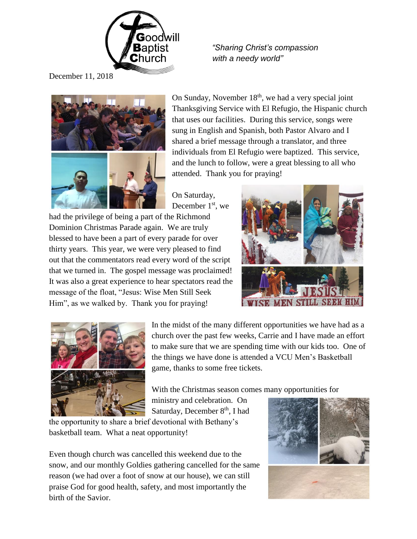

**Baptist** "Sharing Christ's compassion<br>Church with a needy world"  *with a needy world"*

December 11, 2018



On Sunday, November  $18<sup>th</sup>$ , we had a very special joint Thanksgiving Service with El Refugio, the Hispanic church that uses our facilities. During this service, songs were sung in English and Spanish, both Pastor Alvaro and I shared a brief message through a translator, and three individuals from El Refugio were baptized. This service, and the lunch to follow, were a great blessing to all who attended. Thank you for praying!

On Saturday, December 1<sup>st</sup>, we

had the privilege of being a part of the Richmond Dominion Christmas Parade again. We are truly blessed to have been a part of every parade for over thirty years. This year, we were very pleased to find out that the commentators read every word of the script that we turned in. The gospel message was proclaimed! It was also a great experience to hear spectators read the message of the float, "Jesus: Wise Men Still Seek Him", as we walked by. Thank you for praying!





In the midst of the many different opportunities we have had as a church over the past few weeks, Carrie and I have made an effort to make sure that we are spending time with our kids too. One of the things we have done is attended a VCU Men's Basketball game, thanks to some free tickets.

With the Christmas season comes many opportunities for

ministry and celebration. On Saturday, December  $8<sup>th</sup>$ , I had

the opportunity to share a brief devotional with Bethany's basketball team. What a neat opportunity!

Even though church was cancelled this weekend due to the snow, and our monthly Goldies gathering cancelled for the same reason (we had over a foot of snow at our house), we can still praise God for good health, safety, and most importantly the birth of the Savior.